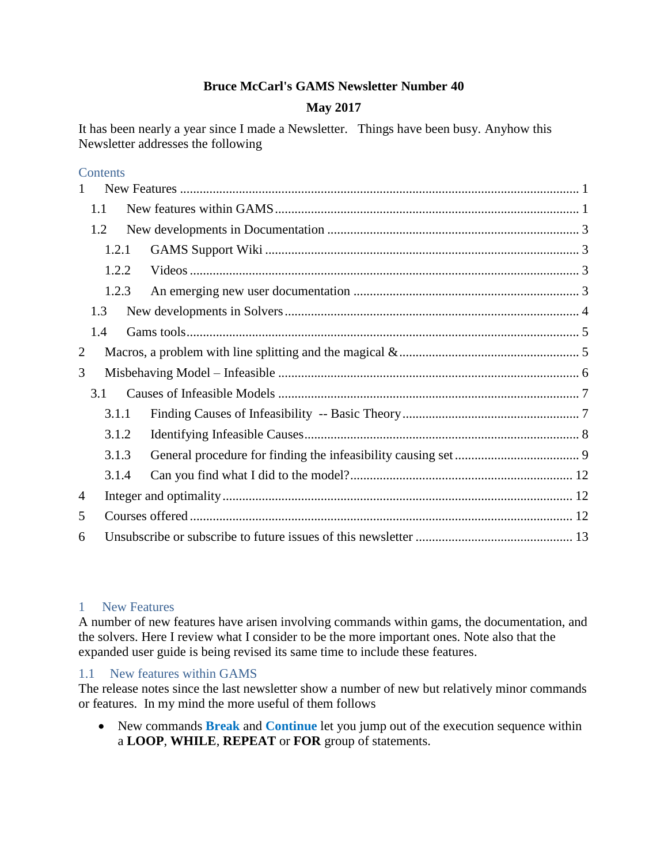# **Bruce McCarl's GAMS Newsletter Number 40**

# **May 2017**

It has been nearly a year since I made a Newsletter. Things have been busy. Anyhow this Newsletter addresses the following

# **Contents**

| $\mathbf{1}$ |                |  |  |  |  |  |
|--------------|----------------|--|--|--|--|--|
|              | 1.1            |  |  |  |  |  |
|              | 1.2            |  |  |  |  |  |
|              | 1.2.1          |  |  |  |  |  |
|              | 1.2.2<br>1.2.3 |  |  |  |  |  |
|              |                |  |  |  |  |  |
|              | 1.3            |  |  |  |  |  |
|              | 1.4            |  |  |  |  |  |
| 2            |                |  |  |  |  |  |
| 3            |                |  |  |  |  |  |
| 3.1          |                |  |  |  |  |  |
|              | 3.1.1<br>3.1.2 |  |  |  |  |  |
|              |                |  |  |  |  |  |
|              | 3.1.3          |  |  |  |  |  |
|              | 3.1.4          |  |  |  |  |  |
| 4            |                |  |  |  |  |  |
| 5            |                |  |  |  |  |  |
| 6            |                |  |  |  |  |  |

#### <span id="page-0-0"></span>1 New Features

A number of new features have arisen involving commands within gams, the documentation, and the solvers. Here I review what I consider to be the more important ones. Note also that the expanded user guide is being revised its same time to include these features.

### <span id="page-0-1"></span>1.1 New features within GAMS

The release notes since the last newsletter show a number of new but relatively minor commands or features. In my mind the more useful of them follows

• New commands **Break** and **Continue** let you jump out of the execution sequence within a **LOOP**, **WHILE**, **REPEAT** or **FOR** group of statements.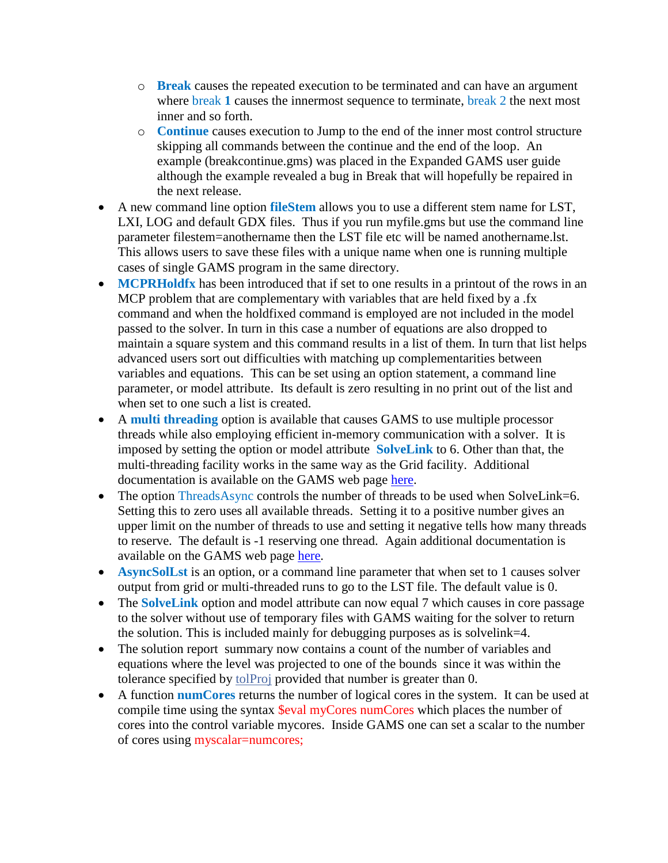- o **Break** causes the repeated execution to be terminated and can have an argument where **break 1** causes the innermost sequence to terminate, **break 2** the next most inner and so forth.
- o **Continue** causes execution to Jump to the end of the inner most control structure skipping all commands between the continue and the end of the loop. An example (breakcontinue.gms) was placed in the Expanded GAMS user guide although the example revealed a bug in Break that will hopefully be repaired in the next release.
- A new command line option **fileStem** allows you to use a different stem name for LST, LXI, LOG and default GDX files. Thus if you run myfile.gms but use the command line parameter filestem=anothername then the LST file etc will be named anothername.lst. This allows users to save these files with a unique name when one is running multiple cases of single GAMS program in the same directory.
- **MCPRHoldfx** has been introduced that if set to one results in a printout of the rows in an MCP problem that are complementary with variables that are held fixed by a .fx command and when the holdfixed command is employed are not included in the model passed to the solver. In turn in this case a number of equations are also dropped to maintain a square system and this command results in a list of them. In turn that list helps advanced users sort out difficulties with matching up complementarities between variables and equations. This can be set using an option statement, a command line parameter, or model attribute. Its default is zero resulting in no print out of the list and when set to one such a list is created.
- A **multi threading** option is available that causes GAMS to use multiple processor threads while also employing efficient in-memory communication with a solver. It is imposed by setting the option or model attribute **[SolveLink](https://www.gams.com/latest/docs/userguides/userguide/_u_g__gams_call.html#GAMSSolveLink)** to 6. Other than that, the multi-threading facility works in the same way as the Grid facility. Additional documentation is available on the GAMS web page [here.](https://www.gams.com/latest/docs/userguides/userguide/_u_g__grid_computing.html)
- The option [ThreadsAsync](https://www.gams.com/latest/docs/userguides/userguide/_u_g__gams_call.html#GAMSThreadsAsync) controls the number of threads to be used when SolveLink=6. Setting this to zero uses all available threads. Setting it to a positive number gives an upper limit on the number of threads to use and setting it negative tells how many threads to reserve. The default is -1 reserving one thread. Again additional documentation is available on the GAMS web page [here.](https://www.gams.com/latest/docs/userguides/userguide/_u_g__grid_computing.html)
- **AsyncSolLst** is an option, or a command line parameter that when set to 1 causes solver output from grid or multi-threaded runs to go to the LST file. The default value is 0.
- The **SolveLink** option and model attribute can now equal 7 which causes in core passage to the solver without use of temporary files with GAMS waiting for the solver to return the solution. This is included mainly for debugging purposes as is solvelink=4.
- The solution report summary now contains a count of the number of variables and equations where the level was projected to one of the bounds since it was within the tolerance specified by [tolProj](https://www.gams.com/latest/docs/userguides/userguide/_u_g__model_solve.html#UG_ModelSolve_ModelAttributesUsedBeforeSolve) provided that number is greater than 0.
- A function **numCores** returns the number of logical cores in the system. It can be used at compile time using the syntax **\$eval** myCores numCores which places the number of cores into the control variable mycores. Inside GAMS one can set a scalar to the number of cores using myscalar=numcores;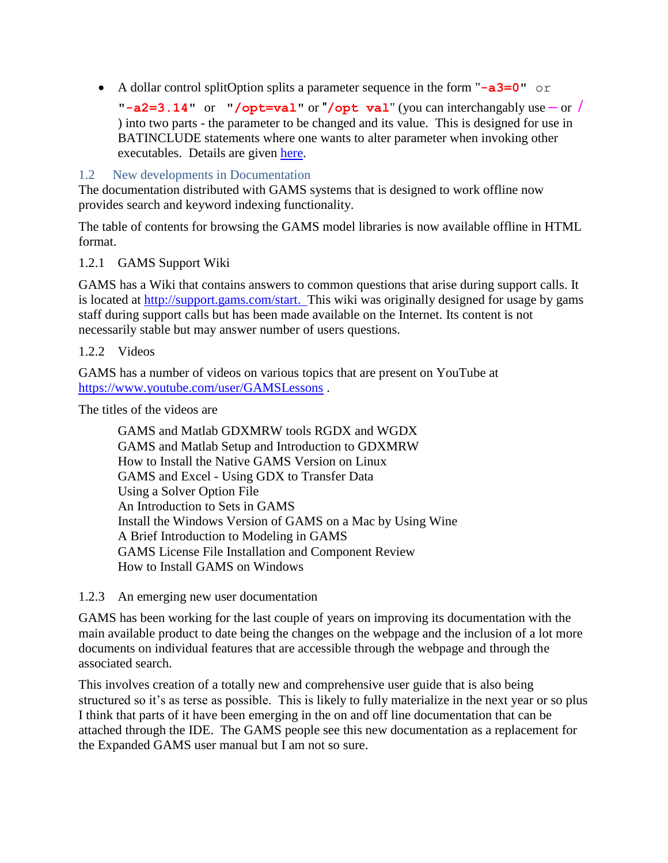A dollar control splitOption splits a parameter sequence in the form "**-a3=0**" or

"**-a2=3.14**" or "**/opt=val**" or "**/opt val**" (you can interchangably use **–** or **/** ) into two parts - the parameter to be changed and its value. This is designed for use in BATINCLUDE statements where one wants to alter parameter when invoking other executables. Details are given [here.](https://www.gams.com/latest/docs/userguides/userguide/_u_g__dollar_control_options.html#DOLLARsplitoption)

<span id="page-2-0"></span>1.2 New developments in Documentation

The documentation distributed with GAMS systems that is designed to work offline now provides search and keyword indexing functionality.

The table of contents for browsing the GAMS model libraries is now available offline in HTML format.

### <span id="page-2-1"></span>1.2.1 GAMS Support Wiki

GAMS has a Wiki that contains answers to common questions that arise during support calls. It is located at [http://support.gams.com/start.](http://support.gams.com/start) This wiki was originally designed for usage by gams staff during support calls but has been made available on the Internet. Its content is not necessarily stable but may answer number of users questions.

#### <span id="page-2-2"></span>1.2.2 Videos

GAMS has a number of videos on various topics that are present on YouTube at <https://www.youtube.com/user/GAMSLessons> .

The titles of the videos are

GAMS and Matlab GDXMRW tools RGDX and WGDX GAMS and Matlab Setup and Introduction to GDXMRW How to Install the Native GAMS Version on Linux GAMS and Excel - Using GDX to Transfer Data Using a Solver Option File An Introduction to Sets in GAMS Install the Windows Version of GAMS on a Mac by Using Wine A Brief Introduction to Modeling in GAMS GAMS License File Installation and Component Review How to Install GAMS on Windows

<span id="page-2-3"></span>1.2.3 An emerging new user documentation

GAMS has been working for the last couple of years on improving its documentation with the main available product to date being the changes on the webpage and the inclusion of a lot more documents on individual features that are accessible through the webpage and through the associated search.

This involves creation of a totally new and comprehensive user guide that is also being structured so it's as terse as possible. This is likely to fully materialize in the next year or so plus I think that parts of it have been emerging in the on and off line documentation that can be attached through the IDE. The GAMS people see this new documentation as a replacement for the Expanded GAMS user manual but I am not so sure.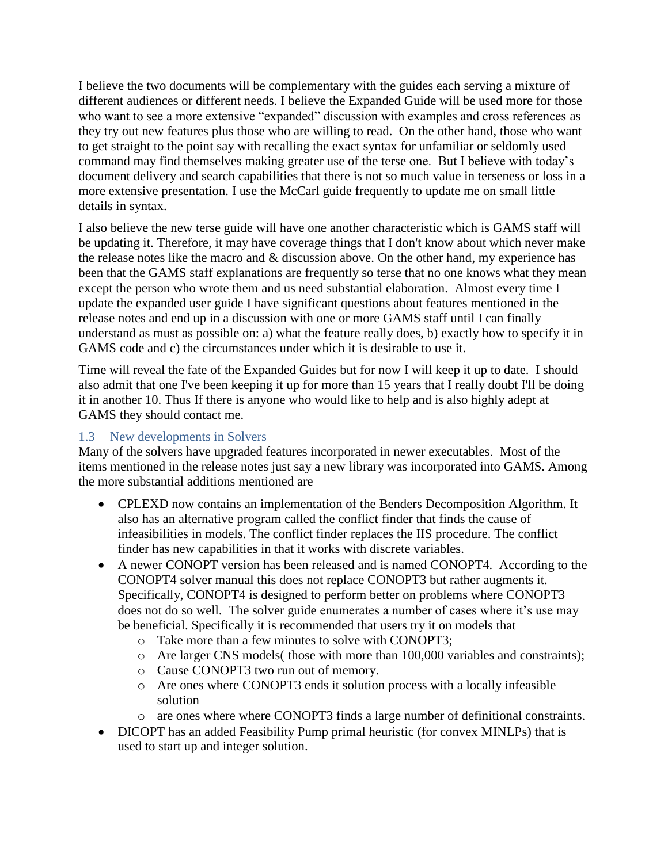I believe the two documents will be complementary with the guides each serving a mixture of different audiences or different needs. I believe the Expanded Guide will be used more for those who want to see a more extensive "expanded" discussion with examples and cross references as they try out new features plus those who are willing to read. On the other hand, those who want to get straight to the point say with recalling the exact syntax for unfamiliar or seldomly used command may find themselves making greater use of the terse one. But I believe with today's document delivery and search capabilities that there is not so much value in terseness or loss in a more extensive presentation. I use the McCarl guide frequently to update me on small little details in syntax.

I also believe the new terse guide will have one another characteristic which is GAMS staff will be updating it. Therefore, it may have coverage things that I don't know about which never make the release notes like the macro and & discussion above. On the other hand, my experience has been that the GAMS staff explanations are frequently so terse that no one knows what they mean except the person who wrote them and us need substantial elaboration. Almost every time I update the expanded user guide I have significant questions about features mentioned in the release notes and end up in a discussion with one or more GAMS staff until I can finally understand as must as possible on: a) what the feature really does, b) exactly how to specify it in GAMS code and c) the circumstances under which it is desirable to use it.

Time will reveal the fate of the Expanded Guides but for now I will keep it up to date. I should also admit that one I've been keeping it up for more than 15 years that I really doubt I'll be doing it in another 10. Thus If there is anyone who would like to help and is also highly adept at GAMS they should contact me.

# <span id="page-3-0"></span>1.3 New developments in Solvers

Many of the solvers have upgraded features incorporated in newer executables. Most of the items mentioned in the release notes just say a new library was incorporated into GAMS. Among the more substantial additions mentioned are

- CPLEXD now contains an implementation of the Benders Decomposition Algorithm. It also has an alternative program called the conflict finder that finds the cause of infeasibilities in models. The conflict finder replaces the IIS procedure. The conflict finder has new capabilities in that it works with discrete variables.
- A newer CONOPT version has been released and is named CONOPT4. According to the CONOPT4 solver manual this does not replace CONOPT3 but rather augments it. Specifically, CONOPT4 is designed to perform better on problems where CONOPT3 does not do so well. The solver guide enumerates a number of cases where it's use may be beneficial. Specifically it is recommended that users try it on models that
	- o Take more than a few minutes to solve with CONOPT3;
	- o Are larger CNS models( those with more than 100,000 variables and constraints);
	- o Cause CONOPT3 two run out of memory.
	- o Are ones where CONOPT3 ends it solution process with a locally infeasible solution
	- o are ones where where CONOPT3 finds a large number of definitional constraints.
- DICOPT has an added Feasibility Pump primal heuristic (for convex MINLPs) that is used to start up and integer solution.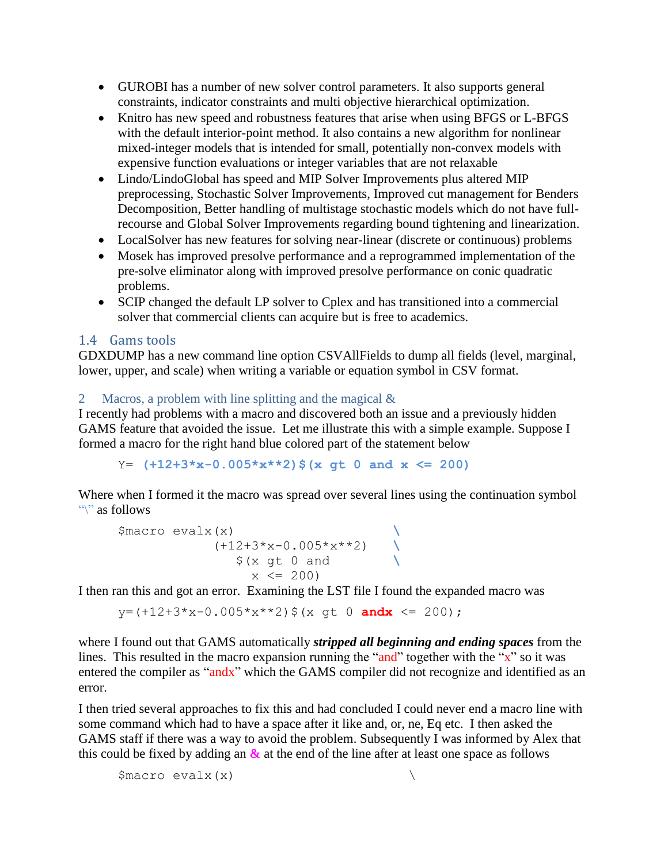- GUROBI has a number of new solver control parameters. It also supports general constraints, indicator constraints and multi objective hierarchical optimization.
- Knitro has new speed and robustness features that arise when using BFGS or L-BFGS with the default interior-point method. It also contains a new algorithm for nonlinear mixed-integer models that is intended for small, potentially non-convex models with expensive function evaluations or integer variables that are not relaxable
- Lindo/LindoGlobal has speed and MIP Solver Improvements plus altered MIP preprocessing, Stochastic Solver Improvements, Improved cut management for Benders Decomposition, Better handling of multistage stochastic models which do not have fullrecourse and Global Solver Improvements regarding bound tightening and linearization.
- LocalSolver has new features for solving near-linear (discrete or continuous) problems
- Mosek has improved presolve performance and a reprogrammed implementation of the pre-solve eliminator along with improved presolve performance on conic quadratic problems.
- SCIP changed the default LP solver to Cplex and has transitioned into a commercial solver that commercial clients can acquire but is free to academics.

# <span id="page-4-0"></span>1.4 Gams tools

GDXDUMP has a new command line option CSVAllFields to dump all fields (level, marginal, lower, upper, and scale) when writing a variable or equation symbol in CSV format.

### <span id="page-4-1"></span>2 Macros, a problem with line splitting and the magical &

I recently had problems with a macro and discovered both an issue and a previously hidden GAMS feature that avoided the issue. Let me illustrate this with a simple example. Suppose I formed a macro for the right hand blue colored part of the statement below

Y= **(+12+3\*x-0.005\*x\*\*2)\$(x gt 0 and x <= 200)**

Where when I formed it the macro was spread over several lines using the continuation symbol "\" as follows

```
$macro evalx(x) \
 (+12+3*x-0.005*x**2) \
\frac{1}{2} \left(x \text{ gt } 0 \text{ and } \right)x \le 200
```
I then ran this and got an error. Examining the LST file I found the expanded macro was

 $y=(+12+3*x-0.005*x**2)$  \$ (x qt 0 **andx**  $\leq$  200);

where I found out that GAMS automatically *stripped all beginning and ending spaces* from the lines. This resulted in the macro expansion running the "and" together with the "x" so it was entered the compiler as "andx" which the GAMS compiler did not recognize and identified as an error.

I then tried several approaches to fix this and had concluded I could never end a macro line with some command which had to have a space after it like and, or, ne, Eq etc. I then asked the GAMS staff if there was a way to avoid the problem. Subsequently I was informed by Alex that this could be fixed by adding an **&** at the end of the line after at least one space as follows

```
\text{Smacro evalx}(x)
```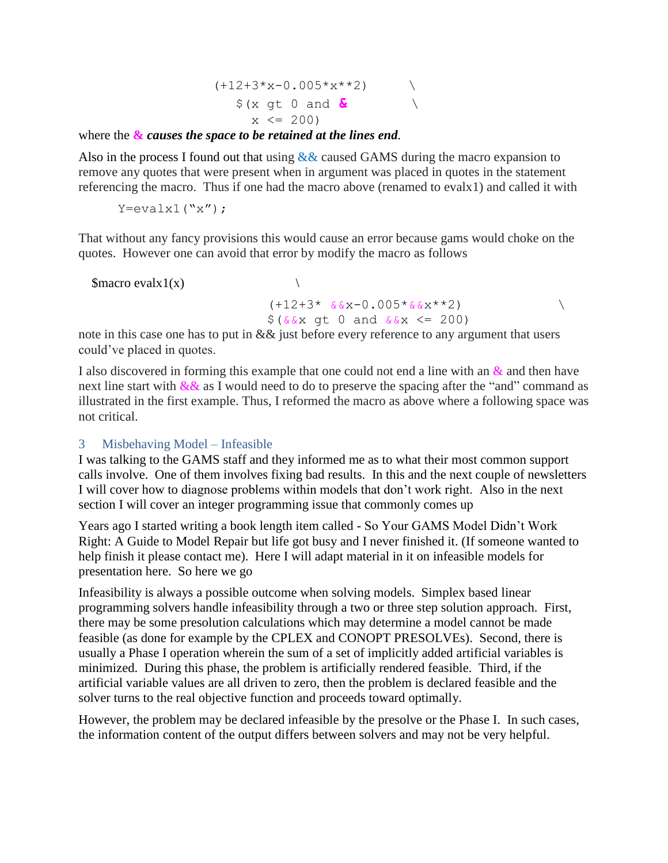$$
(+12+3*x-0.005*x*x+2)
$$
  
\$ (x gt 0 and 0  
x < 200)

where the **&** *causes the space to be retained at the lines end.*

Also in the process I found out that using  $&&$  caused GAMS during the macro expansion to remove any quotes that were present when in argument was placed in quotes in the statement referencing the macro. Thus if one had the macro above (renamed to evalx1) and called it with

 $Y=evalx1("x")$ ;

That without any fancy provisions this would cause an error because gams would choke on the quotes. However one can avoid that error by modify the macro as follows

\$macro evalx $1(x)$ 

 $(+12+3* \&&x-0.005*&&x**2)$  $$({\&&x \text{ qt } 0 \text{ and } {\&x \text{ x}} \leq 200)}$ 

note in this case one has to put in & & just before every reference to any argument that users could've placed in quotes.

I also discovered in forming this example that one could not end a line with an  $\&$  and then have next line start with  $&\&\&$  as I would need to do to preserve the spacing after the "and" command as illustrated in the first example. Thus, I reformed the macro as above where a following space was not critical.

### <span id="page-5-0"></span>3 Misbehaving Model – Infeasible

I was talking to the GAMS staff and they informed me as to what their most common support calls involve. One of them involves fixing bad results. In this and the next couple of newsletters I will cover how to diagnose problems within models that don't work right. Also in the next section I will cover an integer programming issue that commonly comes up

Years ago I started writing a book length item called - So Your GAMS Model Didn't Work Right: A Guide to Model Repair but life got busy and I never finished it. (If someone wanted to help finish it please contact me). Here I will adapt material in it on infeasible models for presentation here. So here we go

Infeasibility is always a possible outcome when solving models. Simplex based linear programming solvers handle infeasibility through a two or three step solution approach. First, there may be some presolution calculations which may determine a model cannot be made feasible (as done for example by the CPLEX and CONOPT PRESOLVEs). Second, there is usually a Phase I operation wherein the sum of a set of implicitly added artificial variables is minimized. During this phase, the problem is artificially rendered feasible. Third, if the artificial variable values are all driven to zero, then the problem is declared feasible and the solver turns to the real objective function and proceeds toward optimally.

However, the problem may be declared infeasible by the presolve or the Phase I. In such cases, the information content of the output differs between solvers and may not be very helpful.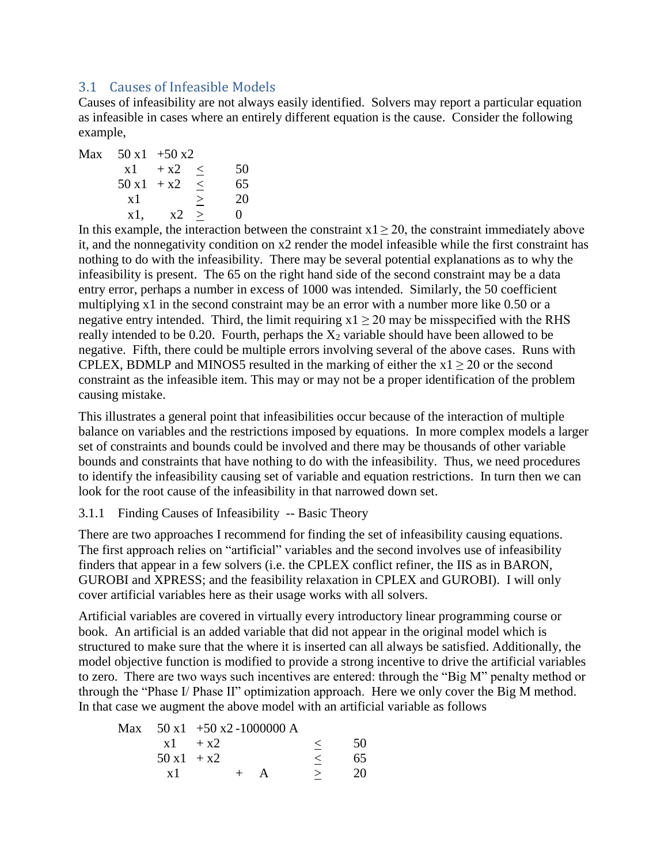# <span id="page-6-0"></span>3.1 Causes of Infeasible Models

Causes of infeasibility are not always easily identified. Solvers may report a particular equation as infeasible in cases where an entirely different equation is the cause. Consider the following example,

Max  $50 x1 + 50 x2$  $x1 + x2 < 50$  $50 x1 + x2 \leq 65$  $x1 \qquad > \qquad 20$  $x1, \, x2 > 0$ 

In this example, the interaction between the constraint  $x1 \ge 20$ , the constraint immediately above it, and the nonnegativity condition on x2 render the model infeasible while the first constraint has nothing to do with the infeasibility. There may be several potential explanations as to why the infeasibility is present. The 65 on the right hand side of the second constraint may be a data entry error, perhaps a number in excess of 1000 was intended. Similarly, the 50 coefficient multiplying x1 in the second constraint may be an error with a number more like 0.50 or a negative entry intended. Third, the limit requiring  $x1 \ge 20$  may be misspecified with the RHS really intended to be 0.20. Fourth, perhaps the  $X_2$  variable should have been allowed to be negative. Fifth, there could be multiple errors involving several of the above cases. Runs with CPLEX, BDMLP and MINOS5 resulted in the marking of either the  $x1 \ge 20$  or the second constraint as the infeasible item. This may or may not be a proper identification of the problem causing mistake.

This illustrates a general point that infeasibilities occur because of the interaction of multiple balance on variables and the restrictions imposed by equations. In more complex models a larger set of constraints and bounds could be involved and there may be thousands of other variable bounds and constraints that have nothing to do with the infeasibility. Thus, we need procedures to identify the infeasibility causing set of variable and equation restrictions. In turn then we can look for the root cause of the infeasibility in that narrowed down set.

### <span id="page-6-1"></span>3.1.1 Finding Causes of Infeasibility -- Basic Theory

There are two approaches I recommend for finding the set of infeasibility causing equations. The first approach relies on "artificial" variables and the second involves use of infeasibility finders that appear in a few solvers (i.e. the CPLEX conflict refiner, the IIS as in BARON, GUROBI and XPRESS; and the feasibility relaxation in CPLEX and GUROBI). I will only cover artificial variables here as their usage works with all solvers.

Artificial variables are covered in virtually every introductory linear programming course or book. An artificial is an added variable that did not appear in the original model which is structured to make sure that the where it is inserted can all always be satisfied. Additionally, the model objective function is modified to provide a strong incentive to drive the artificial variables to zero. There are two ways such incentives are entered: through the "Big M" penalty method or through the "Phase I/ Phase II" optimization approach. Here we only cover the Big M method. In that case we augment the above model with an artificial variable as follows

|             | Max $50 \text{ x1 } +50 \text{ x2} -1000000 \text{ A}$ |         |    |
|-------------|--------------------------------------------------------|---------|----|
|             | $x^2 + x^2$                                            | $\prec$ | 50 |
| $50x1 + x2$ |                                                        |         | 65 |
| x 1         |                                                        |         | 20 |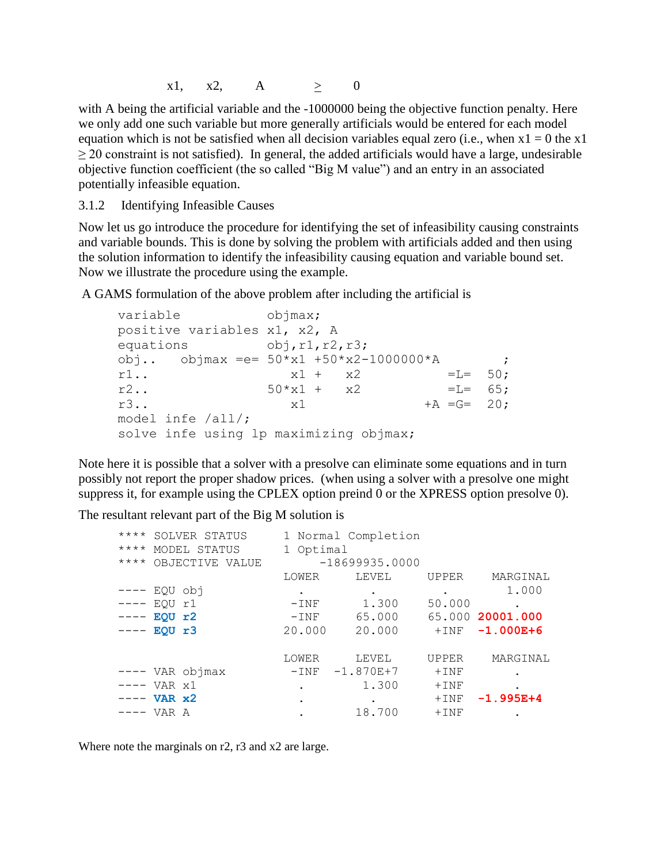$x1, x2, A > 0$ 

with A being the artificial variable and the -1000000 being the objective function penalty. Here we only add one such variable but more generally artificials would be entered for each model equation which is not be satisfied when all decision variables equal zero (i.e., when  $x1 = 0$  the x1  $\geq$  20 constraint is not satisfied). In general, the added artificials would have a large, undesirable objective function coefficient (the so called "Big M value") and an entry in an associated potentially infeasible equation.

<span id="page-7-0"></span>3.1.2 Identifying Infeasible Causes

Now let us go introduce the procedure for identifying the set of infeasibility causing constraints and variable bounds. This is done by solving the problem with artificials added and then using the solution information to identify the infeasibility causing equation and variable bound set. Now we illustrate the procedure using the example.

A GAMS formulation of the above problem after including the artificial is

```
variable objmax;
positive variables x1, x2, A
equations obj, r1, r2, r3;
obj.. objmax = e= 50 \times x1 + 50 \times x2 - 10000000 \times A ;
r1.. x1 + x2 = L = 50;r2... 50*x1 + x2 =L= 65;
r3.. x1 + A = G = 20;
model infe /all/;
solve infe using lp maximizing objmax;
```
Note here it is possible that a solver with a presolve can eliminate some equations and in turn possibly not report the proper shadow prices. (when using a solver with a presolve one might suppress it, for example using the CPLEX option preind 0 or the XPRESS option presolve 0).

The resultant relevant part of the Big M solution is

| ****<br>****<br>**** | SOLVER STATUS<br>MODEL STATUS<br>OBJECTIVE VALUE |                 | 1 Optimal | 1 Normal Completion<br>$-18699935.0000$ |              |                  |
|----------------------|--------------------------------------------------|-----------------|-----------|-----------------------------------------|--------------|------------------|
|                      |                                                  |                 | LOWER     | LEVEL                                   | <b>UPPER</b> | MARGINAL         |
|                      | EQU obj                                          |                 |           |                                         |              | 1,000            |
| $-- - -$             | EOU r1                                           |                 | $-$ INF   | 1.300                                   | 50.000       |                  |
| $--- - -$            | EQU r2                                           |                 | $-$ INF   | 65.000                                  |              | 65.000 20001.000 |
|                      | EOU r3                                           |                 | 20.000    | 20.000                                  | $+$ INF      | $-1.000E + 6$    |
|                      |                                                  |                 | LOWER     | LEVEL                                   | <b>UPPER</b> | MARGINAL         |
|                      |                                                  | ---- VAR objmax | $-$ INF   | $-1.870E+7$                             | $+$ INF      |                  |
|                      | ---- VAR x1                                      |                 | $\bullet$ | 1,300                                   | $+$ INF      |                  |
|                      | VAR x2                                           |                 |           |                                         | $+$ INF      | $-1.995E+4$      |
|                      | VAR A                                            |                 |           | 18.700                                  | $+$ INF      |                  |

Where note the marginals on r2, r3 and x2 are large.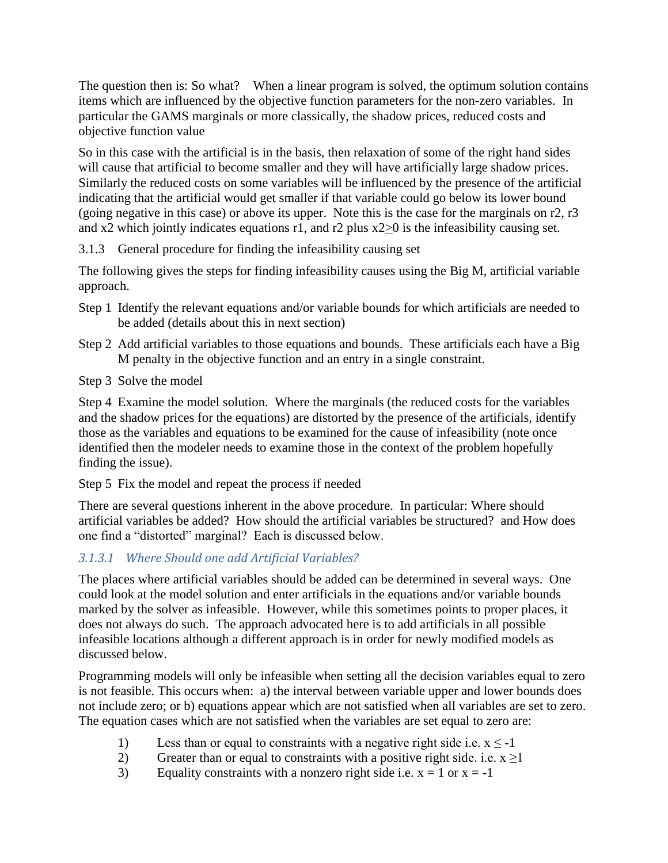The question then is: So what? When a linear program is solved, the optimum solution contains items which are influenced by the objective function parameters for the non-zero variables. In particular the GAMS marginals or more classically, the shadow prices, reduced costs and objective function value

So in this case with the artificial is in the basis, then relaxation of some of the right hand sides will cause that artificial to become smaller and they will have artificially large shadow prices. Similarly the reduced costs on some variables will be influenced by the presence of the artificial indicating that the artificial would get smaller if that variable could go below its lower bound (going negative in this case) or above its upper. Note this is the case for the marginals on r2, r3 and x2 which jointly indicates equations r1, and r2 plus  $x2\geq0$  is the infeasibility causing set.

<span id="page-8-0"></span>3.1.3 General procedure for finding the infeasibility causing set

The following gives the steps for finding infeasibility causes using the Big M, artificial variable approach.

- Step 1 Identify the relevant equations and/or variable bounds for which artificials are needed to be added (details about this in next section)
- Step 2 Add artificial variables to those equations and bounds. These artificials each have a Big M penalty in the objective function and an entry in a single constraint.
- Step 3 Solve the model

Step 4 Examine the model solution. Where the marginals (the reduced costs for the variables and the shadow prices for the equations) are distorted by the presence of the artificials, identify those as the variables and equations to be examined for the cause of infeasibility (note once identified then the modeler needs to examine those in the context of the problem hopefully finding the issue).

Step 5 Fix the model and repeat the process if needed

There are several questions inherent in the above procedure. In particular: Where should artificial variables be added? How should the artificial variables be structured? and How does one find a "distorted" marginal? Each is discussed below.

# *3.1.3.1 Where Should one add Artificial Variables?*

The places where artificial variables should be added can be determined in several ways. One could look at the model solution and enter artificials in the equations and/or variable bounds marked by the solver as infeasible. However, while this sometimes points to proper places, it does not always do such. The approach advocated here is to add artificials in all possible infeasible locations although a different approach is in order for newly modified models as discussed below.

Programming models will only be infeasible when setting all the decision variables equal to zero is not feasible. This occurs when: a) the interval between variable upper and lower bounds does not include zero; or b) equations appear which are not satisfied when all variables are set to zero. The equation cases which are not satisfied when the variables are set equal to zero are:

- 1) Less than or equal to constraints with a negative right side i.e.  $x \le -1$
- 2) Greater than or equal to constraints with a positive right side. i.e.  $x \ge 1$
- 3) Equality constraints with a nonzero right side i.e.  $x = 1$  or  $x = -1$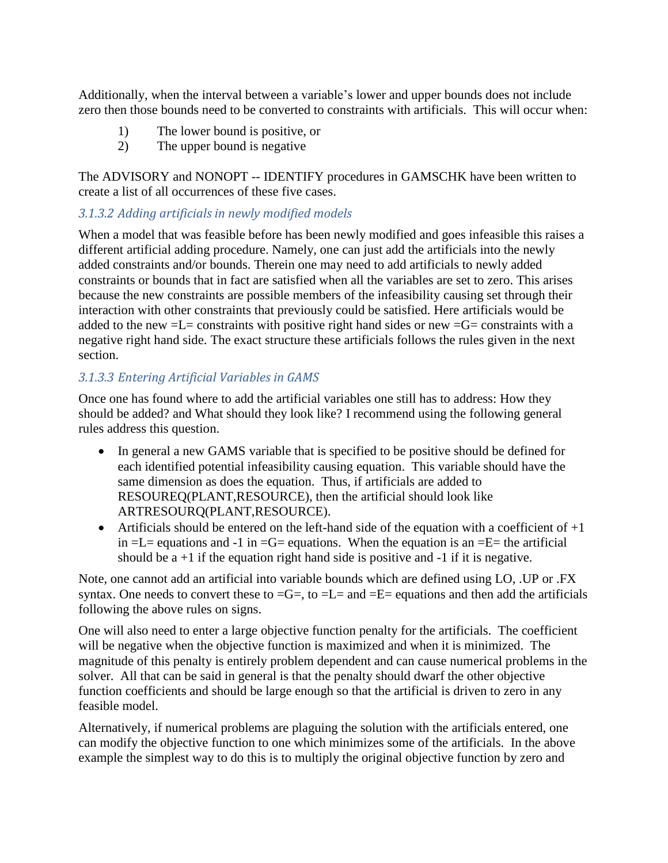Additionally, when the interval between a variable's lower and upper bounds does not include zero then those bounds need to be converted to constraints with artificials. This will occur when:

- 1) The lower bound is positive, or
- 2) The upper bound is negative

The ADVISORY and NONOPT -- IDENTIFY procedures in GAMSCHK have been written to create a list of all occurrences of these five cases.

# *3.1.3.2 Adding artificials in newly modified models*

When a model that was feasible before has been newly modified and goes infeasible this raises a different artificial adding procedure. Namely, one can just add the artificials into the newly added constraints and/or bounds. Therein one may need to add artificials to newly added constraints or bounds that in fact are satisfied when all the variables are set to zero. This arises because the new constraints are possible members of the infeasibility causing set through their interaction with other constraints that previously could be satisfied. Here artificials would be added to the new  $=L$ = constraints with positive right hand sides or new  $=G$ = constraints with a negative right hand side. The exact structure these artificials follows the rules given in the next section.

# *3.1.3.3 Entering Artificial Variables in GAMS*

Once one has found where to add the artificial variables one still has to address: How they should be added? and What should they look like? I recommend using the following general rules address this question.

- In general a new GAMS variable that is specified to be positive should be defined for each identified potential infeasibility causing equation. This variable should have the same dimension as does the equation. Thus, if artificials are added to RESOUREQ(PLANT,RESOURCE), then the artificial should look like ARTRESOURQ(PLANT,RESOURCE).
- Artificials should be entered on the left-hand side of the equation with a coefficient of  $+1$ in  $=L$  = equations and -1 in  $=G$  = equations. When the equation is an  $=E$  = the artificial should be  $a + 1$  if the equation right hand side is positive and  $-1$  if it is negative.

Note, one cannot add an artificial into variable bounds which are defined using LO, .UP or .FX syntax. One needs to convert these to  $=G=$ , to  $=L=$  and  $=E=$  equations and then add the artificials following the above rules on signs.

One will also need to enter a large objective function penalty for the artificials. The coefficient will be negative when the objective function is maximized and when it is minimized. The magnitude of this penalty is entirely problem dependent and can cause numerical problems in the solver. All that can be said in general is that the penalty should dwarf the other objective function coefficients and should be large enough so that the artificial is driven to zero in any feasible model.

Alternatively, if numerical problems are plaguing the solution with the artificials entered, one can modify the objective function to one which minimizes some of the artificials. In the above example the simplest way to do this is to multiply the original objective function by zero and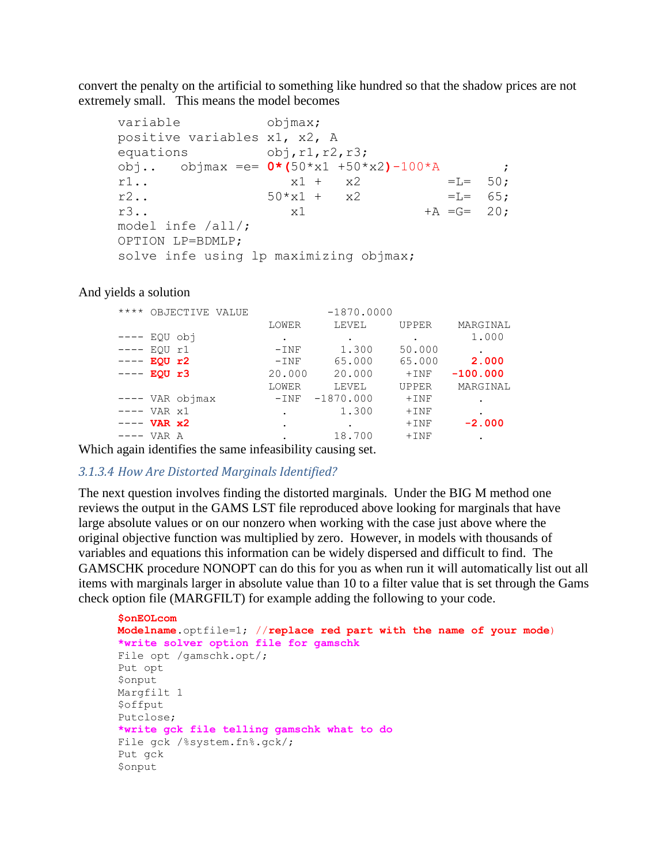convert the penalty on the artificial to something like hundred so that the shadow prices are not extremely small. This means the model becomes

```
variable objmax;
positive variables x1, x2, A
equations obj, r1, r2, r3;
obj.. objmax =e= 0*(50*x1 +50*x2)-100*A ;
r1.. x1 + x2 = L = 50;<br>r2.. 50*x1 + x2 = L = 65;r2.. 50*x1 + x2 = L = 65;r3.. x1 + A = G = 20;model infe /all/;
OPTION LP=BDMLP;
solve infe using lp maximizing objmax;
```
#### And yields a solution

| $***$ *  | OBJECTIVE VALUE |         | $-1870.0000$ |              |            |
|----------|-----------------|---------|--------------|--------------|------------|
|          |                 | LOWER   | LEVEL        | <b>UPPER</b> | MARGINAL   |
| $-- - -$ | EQU obj         | ٠       | ٠            |              | 1.000      |
| ----     | EOU r1          | $-INF$  | 1.300        | 50.000       |            |
| ----     | EQU r2          | $-INF$  | 65.000       | 65.000       | 2.000      |
|          | EQU r3          | 20.000  | 20.000       | $+$ INF      | $-100.000$ |
|          |                 | LOWER   | LEVEL        | <b>UPPER</b> | MARGINAL   |
|          | ---- VAR objmax | $-$ INF | $-1870.000$  | $+$ INF      |            |
| ————     | VAR x1          | ۰       | 1.300        | $+$ INF      |            |
|          | $VAR \times 2$  | ٠       | ٠            | $+$ INF      | $-2.000$   |
|          | VAR A           |         | 18.700       | $+$ INF      |            |
|          |                 |         |              |              |            |

Which again identifies the same infeasibility causing set.

#### *3.1.3.4 How Are Distorted Marginals Identified?*

The next question involves finding the distorted marginals. Under the BIG M method one reviews the output in the GAMS LST file reproduced above looking for marginals that have large absolute values or on our nonzero when working with the case just above where the original objective function was multiplied by zero. However, in models with thousands of variables and equations this information can be widely dispersed and difficult to find. The GAMSCHK procedure NONOPT can do this for you as when run it will automatically list out all items with marginals larger in absolute value than 10 to a filter value that is set through the Gams check option file (MARGFILT) for example adding the following to your code.

```
$onEOLcom
Modelname.optfile=1; //replace red part with the name of your mode)
*write solver option file for gamschk
File opt /gamschk.opt/;
Put opt
$onput
Margfilt 1
$offput
Putclose;
*write gck file telling gamschk what to do
File gck /%system.fn%.gck/;
Put gck
$onput
```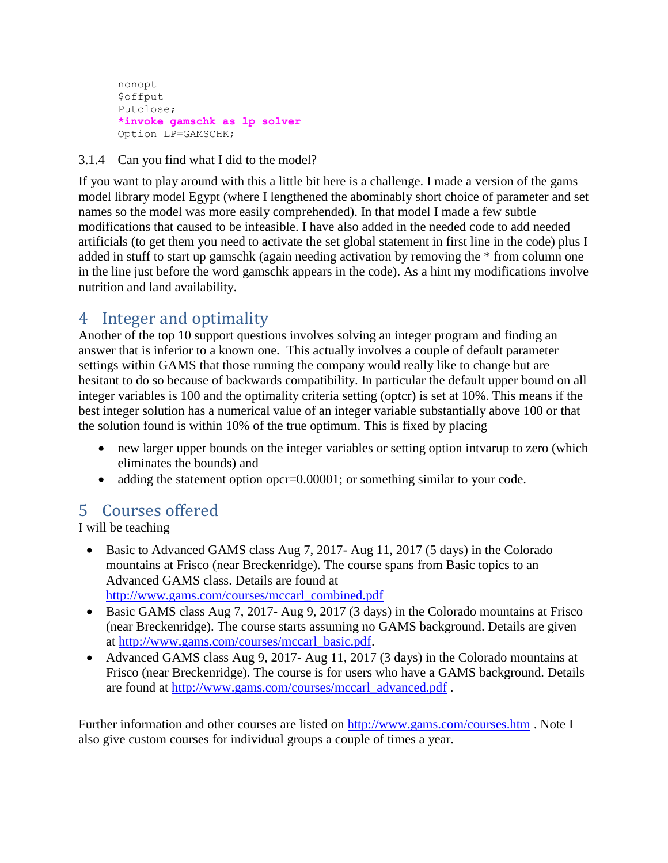```
nonopt
$offput
Putclose;
*invoke gamschk as lp solver
Option LP=GAMSCHK;
```
<span id="page-11-0"></span>3.1.4 Can you find what I did to the model?

If you want to play around with this a little bit here is a challenge. I made a version of the gams model library model Egypt (where I lengthened the abominably short choice of parameter and set names so the model was more easily comprehended). In that model I made a few subtle modifications that caused to be infeasible. I have also added in the needed code to add needed artificials (to get them you need to activate the set global statement in first line in the code) plus I added in stuff to start up gamschk (again needing activation by removing the \* from column one in the line just before the word gamschk appears in the code). As a hint my modifications involve nutrition and land availability.

# <span id="page-11-1"></span>4 Integer and optimality

Another of the top 10 support questions involves solving an integer program and finding an answer that is inferior to a known one. This actually involves a couple of default parameter settings within GAMS that those running the company would really like to change but are hesitant to do so because of backwards compatibility. In particular the default upper bound on all integer variables is 100 and the optimality criteria setting (optcr) is set at 10%. This means if the best integer solution has a numerical value of an integer variable substantially above 100 or that the solution found is within 10% of the true optimum. This is fixed by placing

- new larger upper bounds on the integer variables or setting option intvarup to zero (which eliminates the bounds) and
- adding the statement option opcr=0.00001; or something similar to your code.

# <span id="page-11-2"></span>5 Courses offered

I will be teaching

- Basic to Advanced GAMS class Aug 7, 2017- Aug 11, 2017 (5 days) in the Colorado mountains at Frisco (near Breckenridge). The course spans from Basic topics to an Advanced GAMS class. Details are found at [http://www.gams.com/courses/mccarl\\_combined.pdf](http://www.gams.com/courses/mccarl_combined.pdf)
- Basic GAMS class Aug 7, 2017- Aug 9, 2017 (3 days) in the Colorado mountains at Frisco (near Breckenridge). The course starts assuming no GAMS background. Details are given at [http://www.gams.com/courses/mccarl\\_basic.pdf.](http://www.gams.com/courses/mccarl_basic.pdf)
- Advanced GAMS class Aug 9, 2017- Aug 11, 2017 (3 days) in the Colorado mountains at Frisco (near Breckenridge). The course is for users who have a GAMS background. Details are found at [http://www.gams.com/courses/mccarl\\_advanced.pdf](http://www.gams.com/courses/advanced_2016.pdf) .

Further information and other courses are listed on<http://www.gams.com/courses.htm> . Note I also give custom courses for individual groups a couple of times a year.